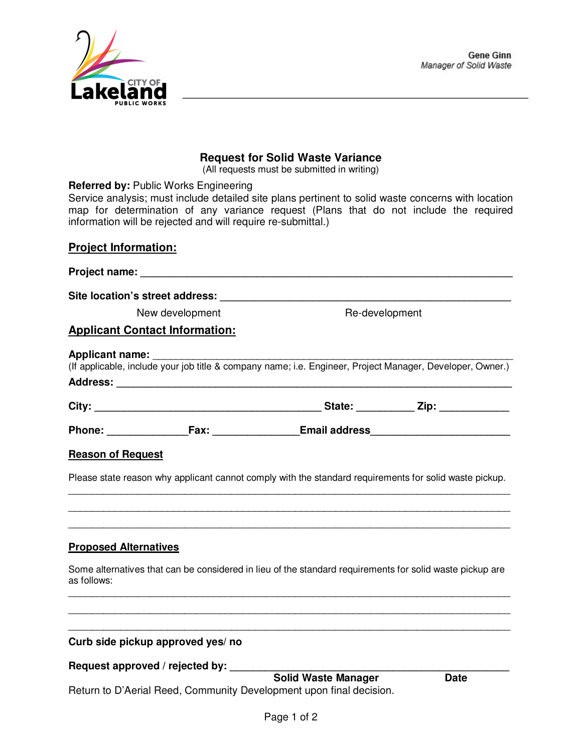

## **Request for Solid Waste Variance**

(All requests must be submitted in writing)

 **Referred by:** Public Works Engineering

 Service analysis; must include detailed site plans pertinent to solid waste concerns with location map for determination of any variance request (Plans that do not include the required information will be rejected and will require re-submittal.)

## **Project Information:**

| New development                                                                                                                                                                                                                              | Re-development |  |
|----------------------------------------------------------------------------------------------------------------------------------------------------------------------------------------------------------------------------------------------|----------------|--|
| <b>Applicant Contact Information:</b>                                                                                                                                                                                                        |                |  |
| Applicant name:<br>(If applicable, include your job title & company name; i.e. Engineer, Project Manager, Developer, Owner.)                                                                                                                 |                |  |
|                                                                                                                                                                                                                                              |                |  |
| Phone: Fax: Fax: Email address                                                                                                                                                                                                               |                |  |
| <b>Reason of Request</b>                                                                                                                                                                                                                     |                |  |
| Please state reason why applicant cannot comply with the standard requirements for solid waste pickup.<br>,我们也不能在这里的时候,我们也不能在这里的时候,我们也不能在这里的时候,我们也不能会在这里的时候,我们也不能会在这里的时候,我们也不能会在这里的时候,我们也不能                                                  |                |  |
|                                                                                                                                                                                                                                              |                |  |
| <b>Proposed Alternatives</b><br>Some alternatives that can be considered in lieu of the standard requirements for solid waste pickup are<br>as follows:<br>,我们也不能在这里的人,我们也不能在这里的人,我们也不能在这里的人,我们也不能在这里的人,我们也不能在这里的人,我们也不能在这里的人,我们也不能在这里的人,我们也 |                |  |
| Curb side pickup approved yes/ no<br>Request approved / rejected by: _______                                                                                                                                                                 |                |  |